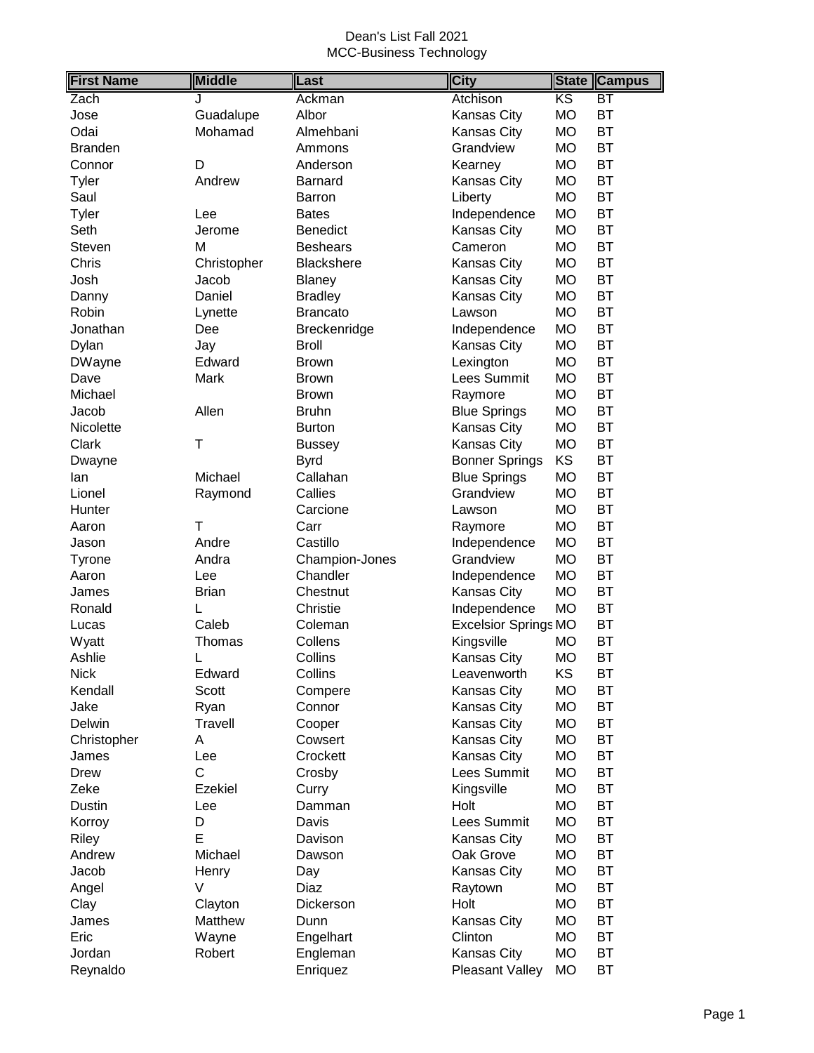| $\overline{\text{KS}}$<br>Zach<br>BT<br>Ackman<br>Atchison<br>. I<br><b>MO</b><br><b>BT</b><br>Albor<br>Kansas City<br>Jose<br>Guadalupe<br>Odai<br>Mohamad<br><b>MO</b><br><b>BT</b><br>Almehbani<br>Kansas City<br><b>BT</b><br><b>MO</b><br><b>Branden</b><br>Ammons<br>Grandview<br><b>BT</b><br>D<br>Anderson<br>Kearney<br>MO<br>Connor<br><b>BT</b><br>Andrew<br><b>Kansas City</b><br><b>MO</b><br><b>Tyler</b><br>Barnard<br><b>BT</b><br>Saul<br><b>MO</b><br>Liberty<br><b>Barron</b><br><b>BT</b><br><b>Tyler</b><br>Independence<br><b>MO</b><br>Lee<br><b>Bates</b><br><b>BT</b><br>Kansas City<br><b>MO</b><br>Seth<br>Benedict<br>Jerome<br><b>BT</b><br>M<br><b>MO</b><br>Steven<br><b>Beshears</b><br>Cameron<br>Chris<br><b>MO</b><br><b>BT</b><br>Christopher<br><b>Blackshere</b><br>Kansas City<br><b>BT</b><br>MO<br>Josh<br>Jacob<br>Kansas City<br><b>Blaney</b><br><b>BT</b><br>Daniel<br><b>MO</b><br><b>Bradley</b><br><b>Kansas City</b><br>Danny<br><b>MO</b><br><b>BT</b><br>Robin<br><b>Brancato</b><br>Lynette<br>Lawson<br><b>BT</b><br><b>MO</b><br>Jonathan<br>Dee<br>Breckenridge<br>Independence |
|----------------------------------------------------------------------------------------------------------------------------------------------------------------------------------------------------------------------------------------------------------------------------------------------------------------------------------------------------------------------------------------------------------------------------------------------------------------------------------------------------------------------------------------------------------------------------------------------------------------------------------------------------------------------------------------------------------------------------------------------------------------------------------------------------------------------------------------------------------------------------------------------------------------------------------------------------------------------------------------------------------------------------------------------------------------------------------------------------------------------------------------|
|                                                                                                                                                                                                                                                                                                                                                                                                                                                                                                                                                                                                                                                                                                                                                                                                                                                                                                                                                                                                                                                                                                                                        |
|                                                                                                                                                                                                                                                                                                                                                                                                                                                                                                                                                                                                                                                                                                                                                                                                                                                                                                                                                                                                                                                                                                                                        |
|                                                                                                                                                                                                                                                                                                                                                                                                                                                                                                                                                                                                                                                                                                                                                                                                                                                                                                                                                                                                                                                                                                                                        |
|                                                                                                                                                                                                                                                                                                                                                                                                                                                                                                                                                                                                                                                                                                                                                                                                                                                                                                                                                                                                                                                                                                                                        |
|                                                                                                                                                                                                                                                                                                                                                                                                                                                                                                                                                                                                                                                                                                                                                                                                                                                                                                                                                                                                                                                                                                                                        |
|                                                                                                                                                                                                                                                                                                                                                                                                                                                                                                                                                                                                                                                                                                                                                                                                                                                                                                                                                                                                                                                                                                                                        |
|                                                                                                                                                                                                                                                                                                                                                                                                                                                                                                                                                                                                                                                                                                                                                                                                                                                                                                                                                                                                                                                                                                                                        |
|                                                                                                                                                                                                                                                                                                                                                                                                                                                                                                                                                                                                                                                                                                                                                                                                                                                                                                                                                                                                                                                                                                                                        |
|                                                                                                                                                                                                                                                                                                                                                                                                                                                                                                                                                                                                                                                                                                                                                                                                                                                                                                                                                                                                                                                                                                                                        |
|                                                                                                                                                                                                                                                                                                                                                                                                                                                                                                                                                                                                                                                                                                                                                                                                                                                                                                                                                                                                                                                                                                                                        |
|                                                                                                                                                                                                                                                                                                                                                                                                                                                                                                                                                                                                                                                                                                                                                                                                                                                                                                                                                                                                                                                                                                                                        |
|                                                                                                                                                                                                                                                                                                                                                                                                                                                                                                                                                                                                                                                                                                                                                                                                                                                                                                                                                                                                                                                                                                                                        |
|                                                                                                                                                                                                                                                                                                                                                                                                                                                                                                                                                                                                                                                                                                                                                                                                                                                                                                                                                                                                                                                                                                                                        |
|                                                                                                                                                                                                                                                                                                                                                                                                                                                                                                                                                                                                                                                                                                                                                                                                                                                                                                                                                                                                                                                                                                                                        |
|                                                                                                                                                                                                                                                                                                                                                                                                                                                                                                                                                                                                                                                                                                                                                                                                                                                                                                                                                                                                                                                                                                                                        |
| <b>BT</b><br><b>Kansas City</b><br><b>MO</b><br><b>Broll</b><br>Dylan<br>Jay                                                                                                                                                                                                                                                                                                                                                                                                                                                                                                                                                                                                                                                                                                                                                                                                                                                                                                                                                                                                                                                           |
| <b>BT</b><br><b>MO</b><br><b>DWayne</b><br>Edward<br>Lexington<br><b>Brown</b>                                                                                                                                                                                                                                                                                                                                                                                                                                                                                                                                                                                                                                                                                                                                                                                                                                                                                                                                                                                                                                                         |
| <b>BT</b><br>Lees Summit<br><b>MO</b><br>Dave<br>Mark<br><b>Brown</b>                                                                                                                                                                                                                                                                                                                                                                                                                                                                                                                                                                                                                                                                                                                                                                                                                                                                                                                                                                                                                                                                  |
| <b>MO</b><br><b>BT</b><br>Michael<br><b>Brown</b><br>Raymore                                                                                                                                                                                                                                                                                                                                                                                                                                                                                                                                                                                                                                                                                                                                                                                                                                                                                                                                                                                                                                                                           |
| Allen<br><b>Blue Springs</b><br><b>MO</b><br><b>BT</b><br>Jacob<br><b>Bruhn</b>                                                                                                                                                                                                                                                                                                                                                                                                                                                                                                                                                                                                                                                                                                                                                                                                                                                                                                                                                                                                                                                        |
| <b>BT</b><br>Kansas City<br><b>MO</b><br>Nicolette<br>Burton                                                                                                                                                                                                                                                                                                                                                                                                                                                                                                                                                                                                                                                                                                                                                                                                                                                                                                                                                                                                                                                                           |
| T<br><b>MO</b><br><b>BT</b><br>Clark<br>Kansas City<br><b>Bussey</b>                                                                                                                                                                                                                                                                                                                                                                                                                                                                                                                                                                                                                                                                                                                                                                                                                                                                                                                                                                                                                                                                   |
| KS<br><b>BT</b><br><b>Bonner Springs</b><br><b>Byrd</b><br>Dwayne                                                                                                                                                                                                                                                                                                                                                                                                                                                                                                                                                                                                                                                                                                                                                                                                                                                                                                                                                                                                                                                                      |
| <b>BT</b><br>Michael<br>Callahan<br><b>Blue Springs</b><br><b>MO</b><br>lan                                                                                                                                                                                                                                                                                                                                                                                                                                                                                                                                                                                                                                                                                                                                                                                                                                                                                                                                                                                                                                                            |
| <b>BT</b><br>Callies<br><b>MO</b><br>Grandview<br>Lionel<br>Raymond                                                                                                                                                                                                                                                                                                                                                                                                                                                                                                                                                                                                                                                                                                                                                                                                                                                                                                                                                                                                                                                                    |
| <b>BT</b><br><b>MO</b><br>Carcione<br>Hunter<br>Lawson                                                                                                                                                                                                                                                                                                                                                                                                                                                                                                                                                                                                                                                                                                                                                                                                                                                                                                                                                                                                                                                                                 |
| <b>BT</b><br>T<br><b>MO</b><br>Carr<br>Raymore<br>Aaron                                                                                                                                                                                                                                                                                                                                                                                                                                                                                                                                                                                                                                                                                                                                                                                                                                                                                                                                                                                                                                                                                |
| <b>BT</b><br>Andre<br>Castillo<br><b>MO</b><br>Independence<br>Jason                                                                                                                                                                                                                                                                                                                                                                                                                                                                                                                                                                                                                                                                                                                                                                                                                                                                                                                                                                                                                                                                   |
| <b>BT</b><br><b>MO</b><br>Andra<br>Champion-Jones<br>Grandview<br>Tyrone                                                                                                                                                                                                                                                                                                                                                                                                                                                                                                                                                                                                                                                                                                                                                                                                                                                                                                                                                                                                                                                               |
| <b>BT</b><br><b>MO</b><br>Aaron<br>Chandler<br>Independence<br>Lee                                                                                                                                                                                                                                                                                                                                                                                                                                                                                                                                                                                                                                                                                                                                                                                                                                                                                                                                                                                                                                                                     |
| <b>BT</b><br><b>MO</b><br><b>Brian</b><br>Chestnut<br>Kansas City<br>James                                                                                                                                                                                                                                                                                                                                                                                                                                                                                                                                                                                                                                                                                                                                                                                                                                                                                                                                                                                                                                                             |
| <b>BT</b><br><b>MO</b><br>Ronald<br>Christie<br>Independence<br>L                                                                                                                                                                                                                                                                                                                                                                                                                                                                                                                                                                                                                                                                                                                                                                                                                                                                                                                                                                                                                                                                      |
| <b>BT</b><br>Caleb<br>Coleman<br><b>Excelsior Springs MO</b><br>Lucas                                                                                                                                                                                                                                                                                                                                                                                                                                                                                                                                                                                                                                                                                                                                                                                                                                                                                                                                                                                                                                                                  |
| Collens<br><b>BT</b><br>Wyatt<br>Kingsville<br><b>MO</b><br>Thomas                                                                                                                                                                                                                                                                                                                                                                                                                                                                                                                                                                                                                                                                                                                                                                                                                                                                                                                                                                                                                                                                     |
| <b>MO</b><br><b>BT</b><br>Ashlie<br>Collins<br>Kansas City<br>L                                                                                                                                                                                                                                                                                                                                                                                                                                                                                                                                                                                                                                                                                                                                                                                                                                                                                                                                                                                                                                                                        |
| <b>Nick</b><br>Collins<br>Leavenworth<br>ΚS<br>BT<br>Edward                                                                                                                                                                                                                                                                                                                                                                                                                                                                                                                                                                                                                                                                                                                                                                                                                                                                                                                                                                                                                                                                            |
| <b>MO</b><br>BT<br>Kendall<br>Kansas City<br>Scott<br>Compere                                                                                                                                                                                                                                                                                                                                                                                                                                                                                                                                                                                                                                                                                                                                                                                                                                                                                                                                                                                                                                                                          |
| <b>MO</b><br>BT<br>Jake<br>Connor<br>Kansas City<br>Ryan                                                                                                                                                                                                                                                                                                                                                                                                                                                                                                                                                                                                                                                                                                                                                                                                                                                                                                                                                                                                                                                                               |
| Kansas City<br>BT<br>Delwin<br>Travell<br>MO<br>Cooper                                                                                                                                                                                                                                                                                                                                                                                                                                                                                                                                                                                                                                                                                                                                                                                                                                                                                                                                                                                                                                                                                 |
| Kansas City<br>BT<br>A<br>Cowsert<br>МO<br>Christopher                                                                                                                                                                                                                                                                                                                                                                                                                                                                                                                                                                                                                                                                                                                                                                                                                                                                                                                                                                                                                                                                                 |
| Kansas City<br>BT<br>Crockett<br>МO<br>James<br>Lee                                                                                                                                                                                                                                                                                                                                                                                                                                                                                                                                                                                                                                                                                                                                                                                                                                                                                                                                                                                                                                                                                    |
| $\mathsf C$<br>Lees Summit<br>BT<br>МO<br>Drew<br>Crosby                                                                                                                                                                                                                                                                                                                                                                                                                                                                                                                                                                                                                                                                                                                                                                                                                                                                                                                                                                                                                                                                               |
| Ezekiel<br><b>MO</b><br>BT<br>Zeke<br>Kingsville<br>Curry                                                                                                                                                                                                                                                                                                                                                                                                                                                                                                                                                                                                                                                                                                                                                                                                                                                                                                                                                                                                                                                                              |
| Holt<br><b>MO</b><br>BT<br>Dustin<br>Lee<br>Damman                                                                                                                                                                                                                                                                                                                                                                                                                                                                                                                                                                                                                                                                                                                                                                                                                                                                                                                                                                                                                                                                                     |
| <b>BT</b><br><b>MO</b><br>D<br>Lees Summit<br>Korroy<br>Davis                                                                                                                                                                                                                                                                                                                                                                                                                                                                                                                                                                                                                                                                                                                                                                                                                                                                                                                                                                                                                                                                          |
| E<br><b>BT</b><br>Riley<br>Davison<br>Kansas City<br>МO                                                                                                                                                                                                                                                                                                                                                                                                                                                                                                                                                                                                                                                                                                                                                                                                                                                                                                                                                                                                                                                                                |
| Oak Grove<br>BT<br>Andrew<br>Michael<br>МO<br>Dawson                                                                                                                                                                                                                                                                                                                                                                                                                                                                                                                                                                                                                                                                                                                                                                                                                                                                                                                                                                                                                                                                                   |
| <b>BT</b><br>Kansas City<br>МO<br>Jacob<br>Henry<br>Day                                                                                                                                                                                                                                                                                                                                                                                                                                                                                                                                                                                                                                                                                                                                                                                                                                                                                                                                                                                                                                                                                |
| <b>BT</b><br>V<br>Diaz<br>МO<br>Angel<br>Raytown                                                                                                                                                                                                                                                                                                                                                                                                                                                                                                                                                                                                                                                                                                                                                                                                                                                                                                                                                                                                                                                                                       |
| <b>BT</b><br>Holt<br>Clayton<br>Dickerson<br>MO<br>Clay                                                                                                                                                                                                                                                                                                                                                                                                                                                                                                                                                                                                                                                                                                                                                                                                                                                                                                                                                                                                                                                                                |
| <b>BT</b><br><b>MO</b><br>Matthew<br>Kansas City<br>James<br>Dunn                                                                                                                                                                                                                                                                                                                                                                                                                                                                                                                                                                                                                                                                                                                                                                                                                                                                                                                                                                                                                                                                      |
| <b>MO</b><br>BT<br>Eric<br>Wayne<br>Engelhart<br>Clinton                                                                                                                                                                                                                                                                                                                                                                                                                                                                                                                                                                                                                                                                                                                                                                                                                                                                                                                                                                                                                                                                               |
| <b>MO</b><br>BT<br>Jordan<br>Robert<br>Engleman<br>Kansas City                                                                                                                                                                                                                                                                                                                                                                                                                                                                                                                                                                                                                                                                                                                                                                                                                                                                                                                                                                                                                                                                         |
| <b>MO</b><br>BT<br>Reynaldo<br>Pleasant Valley<br>Enriquez                                                                                                                                                                                                                                                                                                                                                                                                                                                                                                                                                                                                                                                                                                                                                                                                                                                                                                                                                                                                                                                                             |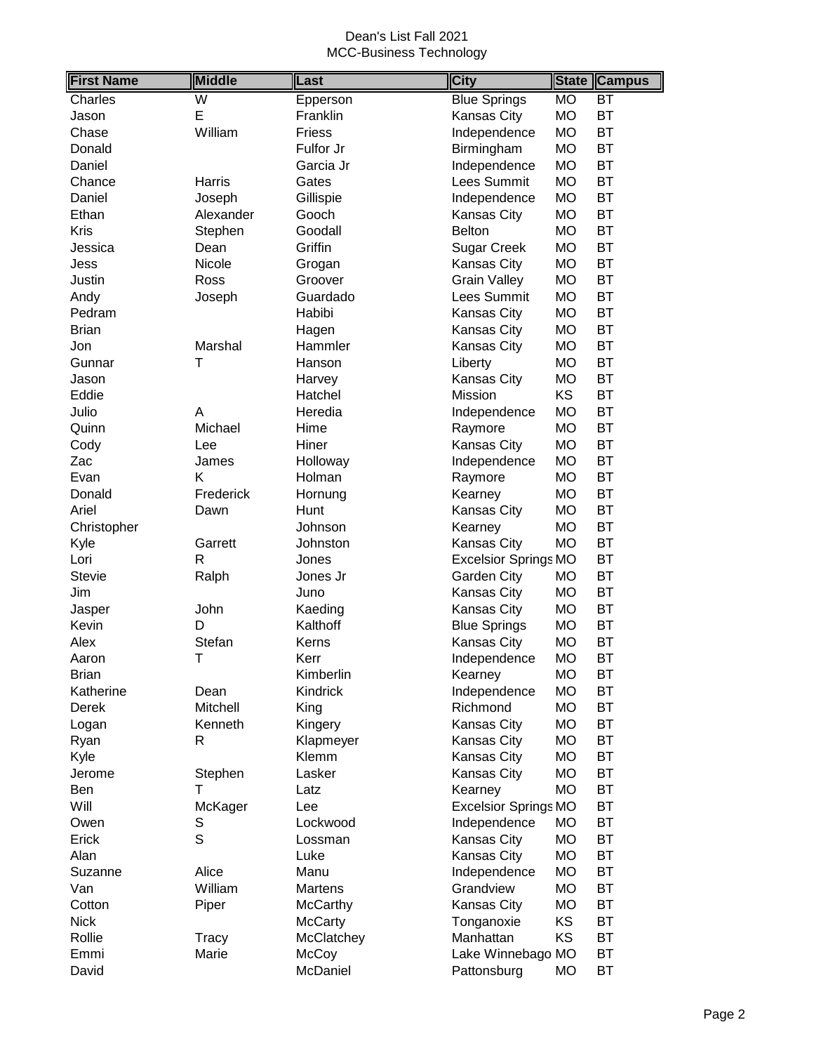| $\overline{\mathsf{W}}$<br><b>Blue Springs</b><br><b>MO</b><br>BT<br>Charles<br>Epperson<br>E<br><b>MO</b><br><b>BT</b><br>Franklin<br>Kansas City<br>Jason<br><b>BT</b><br>William<br><b>Friess</b><br>Independence<br><b>MO</b><br>Chase<br>Fulfor Jr<br>Birmingham<br><b>BT</b><br>Donald<br><b>MO</b><br>Independence<br><b>MO</b><br><b>BT</b><br>Garcia Jr<br>Daniel<br><b>BT</b><br>Lees Summit<br><b>MO</b><br>Chance<br>Harris<br>Gates<br><b>BT</b><br>Gillispie<br>Independence<br>MO<br>Daniel<br>Joseph<br><b>BT</b><br><b>MO</b><br>Ethan<br>Alexander<br>Gooch<br>Kansas City<br>Kris<br><b>Belton</b><br><b>MO</b><br><b>BT</b><br>Stephen<br>Goodall<br><b>BT</b><br>Griffin<br><b>MO</b><br>Jessica<br>Dean<br><b>Sugar Creek</b><br><b>BT</b><br><b>MO</b><br>Nicole<br>Kansas City<br>Jess<br>Grogan<br><b>Grain Valley</b><br><b>MO</b><br><b>BT</b><br>Justin<br>Ross<br>Groover<br>Lees Summit<br><b>BT</b><br>Guardado<br><b>MO</b><br>Andy<br>Joseph<br><b>MO</b><br><b>BT</b><br>Pedram<br>Habibi<br>Kansas City<br><b>BT</b><br>Kansas City<br><b>MO</b><br><b>Brian</b><br>Hagen<br>Kansas City<br><b>BT</b><br>Marshal<br>Hammler<br><b>MO</b><br>Jon<br><b>MO</b><br><b>BT</b><br>Τ<br>Liberty<br>Gunnar<br>Hanson<br>Kansas City<br><b>MO</b><br><b>BT</b><br>Harvey<br>Jason<br>Mission<br>KS<br><b>BT</b><br>Eddie<br>Hatchel<br><b>BT</b><br>Julio<br><b>MO</b><br>Α<br>Heredia<br>Independence<br>Michael<br><b>MO</b><br><b>BT</b><br>Quinn<br>Hime<br>Raymore<br>Hiner<br>Kansas City<br><b>MO</b><br><b>BT</b><br>Cody<br>Lee<br><b>BT</b><br><b>MO</b><br>Zac<br>Holloway<br>Independence<br>James<br>Κ<br><b>MO</b><br><b>BT</b><br>Holman<br>Raymore<br>Evan<br><b>BT</b><br>Frederick<br><b>MO</b><br>Donald<br>Kearney<br>Hornung<br><b>BT</b><br><b>MO</b><br>Ariel<br>Hunt<br>Kansas City<br>Dawn<br><b>BT</b><br><b>MO</b><br>Christopher<br>Johnson<br>Kearney<br><b>BT</b><br><b>MO</b><br>Kyle<br>Garrett<br>Johnston<br>Kansas City<br>$\mathsf{R}$<br><b>BT</b><br>Lori<br><b>Excelsior Springs MO</b><br>Jones<br><b>BT</b><br><b>Stevie</b><br>Ralph<br>Garden City<br><b>MO</b><br>Jones Jr<br><b>BT</b><br>Kansas City<br>MO<br>Jim<br>Juno<br><b>BT</b><br>John<br>Kaeding<br>Kansas City<br><b>MO</b><br>Jasper<br>Kalthoff<br><b>BT</b><br>Kevin<br>D<br><b>Blue Springs</b><br><b>MO</b><br>Stefan<br><b>MO</b><br><b>BT</b><br>Alex<br>Kerns<br>Kansas City<br><b>BT</b><br>Τ<br><b>MO</b><br>Kerr<br>Independence<br>Aaron<br><b>MO</b><br>Kimberlin<br>Kearney<br><b>Brian</b><br>ВT<br><b>MO</b><br>BT<br>Katherine<br>Kindrick<br>Independence<br>Dean<br>Richmond<br><b>MO</b><br><b>BT</b><br>Mitchell<br>Derek<br>King<br>BT<br>Kenneth<br>Kansas City<br>MO<br>Kingery<br>Logan<br>Kansas City<br><b>BT</b><br>MO<br>Ryan<br>R<br>Klapmeyer<br>Kansas City<br>BT<br>Kyle<br>Klemm<br>MO<br><b>BT</b><br><b>MO</b><br>Stephen<br>Lasker<br><b>Kansas City</b><br>Jerome<br><b>MO</b><br><b>BT</b><br>т<br>Kearney<br>Ben<br>Latz<br><b>BT</b><br>Will<br><b>Excelsior Springs MO</b><br>McKager<br>Lee<br><b>BT</b><br>Owen<br>S<br>Lockwood<br>Independence<br><b>MO</b><br>S<br>BT<br>Erick<br>Kansas City<br><b>MO</b><br>Lossman<br><b>BT</b><br>Kansas City<br><b>MO</b><br>Alan<br>Luke<br>Alice<br>Independence<br><b>BT</b><br>Manu<br>MO<br>Suzanne<br>William<br>Grandview<br><b>BT</b><br>Van<br>Martens<br><b>MO</b><br><b>BT</b><br><b>McCarthy</b><br>Kansas City<br><b>MO</b><br>Cotton<br>Piper<br>KS<br><b>BT</b><br><b>Nick</b><br><b>McCarty</b><br>Tonganoxie<br>Manhattan<br>KS<br>BT<br>Rollie<br>McClatchey<br>Tracy | <b>First Name</b> | <b>Middle</b> | Last | <b>City</b> | <b>State</b> | <b>Campus</b> |
|----------------------------------------------------------------------------------------------------------------------------------------------------------------------------------------------------------------------------------------------------------------------------------------------------------------------------------------------------------------------------------------------------------------------------------------------------------------------------------------------------------------------------------------------------------------------------------------------------------------------------------------------------------------------------------------------------------------------------------------------------------------------------------------------------------------------------------------------------------------------------------------------------------------------------------------------------------------------------------------------------------------------------------------------------------------------------------------------------------------------------------------------------------------------------------------------------------------------------------------------------------------------------------------------------------------------------------------------------------------------------------------------------------------------------------------------------------------------------------------------------------------------------------------------------------------------------------------------------------------------------------------------------------------------------------------------------------------------------------------------------------------------------------------------------------------------------------------------------------------------------------------------------------------------------------------------------------------------------------------------------------------------------------------------------------------------------------------------------------------------------------------------------------------------------------------------------------------------------------------------------------------------------------------------------------------------------------------------------------------------------------------------------------------------------------------------------------------------------------------------------------------------------------------------------------------------------------------------------------------------------------------------------------------------------------------------------------------------------------------------------------------------------------------------------------------------------------------------------------------------------------------------------------------------------------------------------------------------------------------------------------------------------------------------------------------------------------------------------------------------------------------------------------------------------------------------------------------------------------------------------------------------------------------------------------------------------------------------------------------------------------------------------------------------------------------------------------------------------------------------------------------------------------------------------------------------------------------------------------------|-------------------|---------------|------|-------------|--------------|---------------|
|                                                                                                                                                                                                                                                                                                                                                                                                                                                                                                                                                                                                                                                                                                                                                                                                                                                                                                                                                                                                                                                                                                                                                                                                                                                                                                                                                                                                                                                                                                                                                                                                                                                                                                                                                                                                                                                                                                                                                                                                                                                                                                                                                                                                                                                                                                                                                                                                                                                                                                                                                                                                                                                                                                                                                                                                                                                                                                                                                                                                                                                                                                                                                                                                                                                                                                                                                                                                                                                                                                                                                                                                                |                   |               |      |             |              |               |
|                                                                                                                                                                                                                                                                                                                                                                                                                                                                                                                                                                                                                                                                                                                                                                                                                                                                                                                                                                                                                                                                                                                                                                                                                                                                                                                                                                                                                                                                                                                                                                                                                                                                                                                                                                                                                                                                                                                                                                                                                                                                                                                                                                                                                                                                                                                                                                                                                                                                                                                                                                                                                                                                                                                                                                                                                                                                                                                                                                                                                                                                                                                                                                                                                                                                                                                                                                                                                                                                                                                                                                                                                |                   |               |      |             |              |               |
|                                                                                                                                                                                                                                                                                                                                                                                                                                                                                                                                                                                                                                                                                                                                                                                                                                                                                                                                                                                                                                                                                                                                                                                                                                                                                                                                                                                                                                                                                                                                                                                                                                                                                                                                                                                                                                                                                                                                                                                                                                                                                                                                                                                                                                                                                                                                                                                                                                                                                                                                                                                                                                                                                                                                                                                                                                                                                                                                                                                                                                                                                                                                                                                                                                                                                                                                                                                                                                                                                                                                                                                                                |                   |               |      |             |              |               |
|                                                                                                                                                                                                                                                                                                                                                                                                                                                                                                                                                                                                                                                                                                                                                                                                                                                                                                                                                                                                                                                                                                                                                                                                                                                                                                                                                                                                                                                                                                                                                                                                                                                                                                                                                                                                                                                                                                                                                                                                                                                                                                                                                                                                                                                                                                                                                                                                                                                                                                                                                                                                                                                                                                                                                                                                                                                                                                                                                                                                                                                                                                                                                                                                                                                                                                                                                                                                                                                                                                                                                                                                                |                   |               |      |             |              |               |
|                                                                                                                                                                                                                                                                                                                                                                                                                                                                                                                                                                                                                                                                                                                                                                                                                                                                                                                                                                                                                                                                                                                                                                                                                                                                                                                                                                                                                                                                                                                                                                                                                                                                                                                                                                                                                                                                                                                                                                                                                                                                                                                                                                                                                                                                                                                                                                                                                                                                                                                                                                                                                                                                                                                                                                                                                                                                                                                                                                                                                                                                                                                                                                                                                                                                                                                                                                                                                                                                                                                                                                                                                |                   |               |      |             |              |               |
|                                                                                                                                                                                                                                                                                                                                                                                                                                                                                                                                                                                                                                                                                                                                                                                                                                                                                                                                                                                                                                                                                                                                                                                                                                                                                                                                                                                                                                                                                                                                                                                                                                                                                                                                                                                                                                                                                                                                                                                                                                                                                                                                                                                                                                                                                                                                                                                                                                                                                                                                                                                                                                                                                                                                                                                                                                                                                                                                                                                                                                                                                                                                                                                                                                                                                                                                                                                                                                                                                                                                                                                                                |                   |               |      |             |              |               |
|                                                                                                                                                                                                                                                                                                                                                                                                                                                                                                                                                                                                                                                                                                                                                                                                                                                                                                                                                                                                                                                                                                                                                                                                                                                                                                                                                                                                                                                                                                                                                                                                                                                                                                                                                                                                                                                                                                                                                                                                                                                                                                                                                                                                                                                                                                                                                                                                                                                                                                                                                                                                                                                                                                                                                                                                                                                                                                                                                                                                                                                                                                                                                                                                                                                                                                                                                                                                                                                                                                                                                                                                                |                   |               |      |             |              |               |
|                                                                                                                                                                                                                                                                                                                                                                                                                                                                                                                                                                                                                                                                                                                                                                                                                                                                                                                                                                                                                                                                                                                                                                                                                                                                                                                                                                                                                                                                                                                                                                                                                                                                                                                                                                                                                                                                                                                                                                                                                                                                                                                                                                                                                                                                                                                                                                                                                                                                                                                                                                                                                                                                                                                                                                                                                                                                                                                                                                                                                                                                                                                                                                                                                                                                                                                                                                                                                                                                                                                                                                                                                |                   |               |      |             |              |               |
|                                                                                                                                                                                                                                                                                                                                                                                                                                                                                                                                                                                                                                                                                                                                                                                                                                                                                                                                                                                                                                                                                                                                                                                                                                                                                                                                                                                                                                                                                                                                                                                                                                                                                                                                                                                                                                                                                                                                                                                                                                                                                                                                                                                                                                                                                                                                                                                                                                                                                                                                                                                                                                                                                                                                                                                                                                                                                                                                                                                                                                                                                                                                                                                                                                                                                                                                                                                                                                                                                                                                                                                                                |                   |               |      |             |              |               |
|                                                                                                                                                                                                                                                                                                                                                                                                                                                                                                                                                                                                                                                                                                                                                                                                                                                                                                                                                                                                                                                                                                                                                                                                                                                                                                                                                                                                                                                                                                                                                                                                                                                                                                                                                                                                                                                                                                                                                                                                                                                                                                                                                                                                                                                                                                                                                                                                                                                                                                                                                                                                                                                                                                                                                                                                                                                                                                                                                                                                                                                                                                                                                                                                                                                                                                                                                                                                                                                                                                                                                                                                                |                   |               |      |             |              |               |
|                                                                                                                                                                                                                                                                                                                                                                                                                                                                                                                                                                                                                                                                                                                                                                                                                                                                                                                                                                                                                                                                                                                                                                                                                                                                                                                                                                                                                                                                                                                                                                                                                                                                                                                                                                                                                                                                                                                                                                                                                                                                                                                                                                                                                                                                                                                                                                                                                                                                                                                                                                                                                                                                                                                                                                                                                                                                                                                                                                                                                                                                                                                                                                                                                                                                                                                                                                                                                                                                                                                                                                                                                |                   |               |      |             |              |               |
|                                                                                                                                                                                                                                                                                                                                                                                                                                                                                                                                                                                                                                                                                                                                                                                                                                                                                                                                                                                                                                                                                                                                                                                                                                                                                                                                                                                                                                                                                                                                                                                                                                                                                                                                                                                                                                                                                                                                                                                                                                                                                                                                                                                                                                                                                                                                                                                                                                                                                                                                                                                                                                                                                                                                                                                                                                                                                                                                                                                                                                                                                                                                                                                                                                                                                                                                                                                                                                                                                                                                                                                                                |                   |               |      |             |              |               |
|                                                                                                                                                                                                                                                                                                                                                                                                                                                                                                                                                                                                                                                                                                                                                                                                                                                                                                                                                                                                                                                                                                                                                                                                                                                                                                                                                                                                                                                                                                                                                                                                                                                                                                                                                                                                                                                                                                                                                                                                                                                                                                                                                                                                                                                                                                                                                                                                                                                                                                                                                                                                                                                                                                                                                                                                                                                                                                                                                                                                                                                                                                                                                                                                                                                                                                                                                                                                                                                                                                                                                                                                                |                   |               |      |             |              |               |
|                                                                                                                                                                                                                                                                                                                                                                                                                                                                                                                                                                                                                                                                                                                                                                                                                                                                                                                                                                                                                                                                                                                                                                                                                                                                                                                                                                                                                                                                                                                                                                                                                                                                                                                                                                                                                                                                                                                                                                                                                                                                                                                                                                                                                                                                                                                                                                                                                                                                                                                                                                                                                                                                                                                                                                                                                                                                                                                                                                                                                                                                                                                                                                                                                                                                                                                                                                                                                                                                                                                                                                                                                |                   |               |      |             |              |               |
|                                                                                                                                                                                                                                                                                                                                                                                                                                                                                                                                                                                                                                                                                                                                                                                                                                                                                                                                                                                                                                                                                                                                                                                                                                                                                                                                                                                                                                                                                                                                                                                                                                                                                                                                                                                                                                                                                                                                                                                                                                                                                                                                                                                                                                                                                                                                                                                                                                                                                                                                                                                                                                                                                                                                                                                                                                                                                                                                                                                                                                                                                                                                                                                                                                                                                                                                                                                                                                                                                                                                                                                                                |                   |               |      |             |              |               |
|                                                                                                                                                                                                                                                                                                                                                                                                                                                                                                                                                                                                                                                                                                                                                                                                                                                                                                                                                                                                                                                                                                                                                                                                                                                                                                                                                                                                                                                                                                                                                                                                                                                                                                                                                                                                                                                                                                                                                                                                                                                                                                                                                                                                                                                                                                                                                                                                                                                                                                                                                                                                                                                                                                                                                                                                                                                                                                                                                                                                                                                                                                                                                                                                                                                                                                                                                                                                                                                                                                                                                                                                                |                   |               |      |             |              |               |
|                                                                                                                                                                                                                                                                                                                                                                                                                                                                                                                                                                                                                                                                                                                                                                                                                                                                                                                                                                                                                                                                                                                                                                                                                                                                                                                                                                                                                                                                                                                                                                                                                                                                                                                                                                                                                                                                                                                                                                                                                                                                                                                                                                                                                                                                                                                                                                                                                                                                                                                                                                                                                                                                                                                                                                                                                                                                                                                                                                                                                                                                                                                                                                                                                                                                                                                                                                                                                                                                                                                                                                                                                |                   |               |      |             |              |               |
|                                                                                                                                                                                                                                                                                                                                                                                                                                                                                                                                                                                                                                                                                                                                                                                                                                                                                                                                                                                                                                                                                                                                                                                                                                                                                                                                                                                                                                                                                                                                                                                                                                                                                                                                                                                                                                                                                                                                                                                                                                                                                                                                                                                                                                                                                                                                                                                                                                                                                                                                                                                                                                                                                                                                                                                                                                                                                                                                                                                                                                                                                                                                                                                                                                                                                                                                                                                                                                                                                                                                                                                                                |                   |               |      |             |              |               |
|                                                                                                                                                                                                                                                                                                                                                                                                                                                                                                                                                                                                                                                                                                                                                                                                                                                                                                                                                                                                                                                                                                                                                                                                                                                                                                                                                                                                                                                                                                                                                                                                                                                                                                                                                                                                                                                                                                                                                                                                                                                                                                                                                                                                                                                                                                                                                                                                                                                                                                                                                                                                                                                                                                                                                                                                                                                                                                                                                                                                                                                                                                                                                                                                                                                                                                                                                                                                                                                                                                                                                                                                                |                   |               |      |             |              |               |
|                                                                                                                                                                                                                                                                                                                                                                                                                                                                                                                                                                                                                                                                                                                                                                                                                                                                                                                                                                                                                                                                                                                                                                                                                                                                                                                                                                                                                                                                                                                                                                                                                                                                                                                                                                                                                                                                                                                                                                                                                                                                                                                                                                                                                                                                                                                                                                                                                                                                                                                                                                                                                                                                                                                                                                                                                                                                                                                                                                                                                                                                                                                                                                                                                                                                                                                                                                                                                                                                                                                                                                                                                |                   |               |      |             |              |               |
|                                                                                                                                                                                                                                                                                                                                                                                                                                                                                                                                                                                                                                                                                                                                                                                                                                                                                                                                                                                                                                                                                                                                                                                                                                                                                                                                                                                                                                                                                                                                                                                                                                                                                                                                                                                                                                                                                                                                                                                                                                                                                                                                                                                                                                                                                                                                                                                                                                                                                                                                                                                                                                                                                                                                                                                                                                                                                                                                                                                                                                                                                                                                                                                                                                                                                                                                                                                                                                                                                                                                                                                                                |                   |               |      |             |              |               |
|                                                                                                                                                                                                                                                                                                                                                                                                                                                                                                                                                                                                                                                                                                                                                                                                                                                                                                                                                                                                                                                                                                                                                                                                                                                                                                                                                                                                                                                                                                                                                                                                                                                                                                                                                                                                                                                                                                                                                                                                                                                                                                                                                                                                                                                                                                                                                                                                                                                                                                                                                                                                                                                                                                                                                                                                                                                                                                                                                                                                                                                                                                                                                                                                                                                                                                                                                                                                                                                                                                                                                                                                                |                   |               |      |             |              |               |
|                                                                                                                                                                                                                                                                                                                                                                                                                                                                                                                                                                                                                                                                                                                                                                                                                                                                                                                                                                                                                                                                                                                                                                                                                                                                                                                                                                                                                                                                                                                                                                                                                                                                                                                                                                                                                                                                                                                                                                                                                                                                                                                                                                                                                                                                                                                                                                                                                                                                                                                                                                                                                                                                                                                                                                                                                                                                                                                                                                                                                                                                                                                                                                                                                                                                                                                                                                                                                                                                                                                                                                                                                |                   |               |      |             |              |               |
|                                                                                                                                                                                                                                                                                                                                                                                                                                                                                                                                                                                                                                                                                                                                                                                                                                                                                                                                                                                                                                                                                                                                                                                                                                                                                                                                                                                                                                                                                                                                                                                                                                                                                                                                                                                                                                                                                                                                                                                                                                                                                                                                                                                                                                                                                                                                                                                                                                                                                                                                                                                                                                                                                                                                                                                                                                                                                                                                                                                                                                                                                                                                                                                                                                                                                                                                                                                                                                                                                                                                                                                                                |                   |               |      |             |              |               |
|                                                                                                                                                                                                                                                                                                                                                                                                                                                                                                                                                                                                                                                                                                                                                                                                                                                                                                                                                                                                                                                                                                                                                                                                                                                                                                                                                                                                                                                                                                                                                                                                                                                                                                                                                                                                                                                                                                                                                                                                                                                                                                                                                                                                                                                                                                                                                                                                                                                                                                                                                                                                                                                                                                                                                                                                                                                                                                                                                                                                                                                                                                                                                                                                                                                                                                                                                                                                                                                                                                                                                                                                                |                   |               |      |             |              |               |
|                                                                                                                                                                                                                                                                                                                                                                                                                                                                                                                                                                                                                                                                                                                                                                                                                                                                                                                                                                                                                                                                                                                                                                                                                                                                                                                                                                                                                                                                                                                                                                                                                                                                                                                                                                                                                                                                                                                                                                                                                                                                                                                                                                                                                                                                                                                                                                                                                                                                                                                                                                                                                                                                                                                                                                                                                                                                                                                                                                                                                                                                                                                                                                                                                                                                                                                                                                                                                                                                                                                                                                                                                |                   |               |      |             |              |               |
|                                                                                                                                                                                                                                                                                                                                                                                                                                                                                                                                                                                                                                                                                                                                                                                                                                                                                                                                                                                                                                                                                                                                                                                                                                                                                                                                                                                                                                                                                                                                                                                                                                                                                                                                                                                                                                                                                                                                                                                                                                                                                                                                                                                                                                                                                                                                                                                                                                                                                                                                                                                                                                                                                                                                                                                                                                                                                                                                                                                                                                                                                                                                                                                                                                                                                                                                                                                                                                                                                                                                                                                                                |                   |               |      |             |              |               |
|                                                                                                                                                                                                                                                                                                                                                                                                                                                                                                                                                                                                                                                                                                                                                                                                                                                                                                                                                                                                                                                                                                                                                                                                                                                                                                                                                                                                                                                                                                                                                                                                                                                                                                                                                                                                                                                                                                                                                                                                                                                                                                                                                                                                                                                                                                                                                                                                                                                                                                                                                                                                                                                                                                                                                                                                                                                                                                                                                                                                                                                                                                                                                                                                                                                                                                                                                                                                                                                                                                                                                                                                                |                   |               |      |             |              |               |
|                                                                                                                                                                                                                                                                                                                                                                                                                                                                                                                                                                                                                                                                                                                                                                                                                                                                                                                                                                                                                                                                                                                                                                                                                                                                                                                                                                                                                                                                                                                                                                                                                                                                                                                                                                                                                                                                                                                                                                                                                                                                                                                                                                                                                                                                                                                                                                                                                                                                                                                                                                                                                                                                                                                                                                                                                                                                                                                                                                                                                                                                                                                                                                                                                                                                                                                                                                                                                                                                                                                                                                                                                |                   |               |      |             |              |               |
|                                                                                                                                                                                                                                                                                                                                                                                                                                                                                                                                                                                                                                                                                                                                                                                                                                                                                                                                                                                                                                                                                                                                                                                                                                                                                                                                                                                                                                                                                                                                                                                                                                                                                                                                                                                                                                                                                                                                                                                                                                                                                                                                                                                                                                                                                                                                                                                                                                                                                                                                                                                                                                                                                                                                                                                                                                                                                                                                                                                                                                                                                                                                                                                                                                                                                                                                                                                                                                                                                                                                                                                                                |                   |               |      |             |              |               |
|                                                                                                                                                                                                                                                                                                                                                                                                                                                                                                                                                                                                                                                                                                                                                                                                                                                                                                                                                                                                                                                                                                                                                                                                                                                                                                                                                                                                                                                                                                                                                                                                                                                                                                                                                                                                                                                                                                                                                                                                                                                                                                                                                                                                                                                                                                                                                                                                                                                                                                                                                                                                                                                                                                                                                                                                                                                                                                                                                                                                                                                                                                                                                                                                                                                                                                                                                                                                                                                                                                                                                                                                                |                   |               |      |             |              |               |
|                                                                                                                                                                                                                                                                                                                                                                                                                                                                                                                                                                                                                                                                                                                                                                                                                                                                                                                                                                                                                                                                                                                                                                                                                                                                                                                                                                                                                                                                                                                                                                                                                                                                                                                                                                                                                                                                                                                                                                                                                                                                                                                                                                                                                                                                                                                                                                                                                                                                                                                                                                                                                                                                                                                                                                                                                                                                                                                                                                                                                                                                                                                                                                                                                                                                                                                                                                                                                                                                                                                                                                                                                |                   |               |      |             |              |               |
|                                                                                                                                                                                                                                                                                                                                                                                                                                                                                                                                                                                                                                                                                                                                                                                                                                                                                                                                                                                                                                                                                                                                                                                                                                                                                                                                                                                                                                                                                                                                                                                                                                                                                                                                                                                                                                                                                                                                                                                                                                                                                                                                                                                                                                                                                                                                                                                                                                                                                                                                                                                                                                                                                                                                                                                                                                                                                                                                                                                                                                                                                                                                                                                                                                                                                                                                                                                                                                                                                                                                                                                                                |                   |               |      |             |              |               |
|                                                                                                                                                                                                                                                                                                                                                                                                                                                                                                                                                                                                                                                                                                                                                                                                                                                                                                                                                                                                                                                                                                                                                                                                                                                                                                                                                                                                                                                                                                                                                                                                                                                                                                                                                                                                                                                                                                                                                                                                                                                                                                                                                                                                                                                                                                                                                                                                                                                                                                                                                                                                                                                                                                                                                                                                                                                                                                                                                                                                                                                                                                                                                                                                                                                                                                                                                                                                                                                                                                                                                                                                                |                   |               |      |             |              |               |
|                                                                                                                                                                                                                                                                                                                                                                                                                                                                                                                                                                                                                                                                                                                                                                                                                                                                                                                                                                                                                                                                                                                                                                                                                                                                                                                                                                                                                                                                                                                                                                                                                                                                                                                                                                                                                                                                                                                                                                                                                                                                                                                                                                                                                                                                                                                                                                                                                                                                                                                                                                                                                                                                                                                                                                                                                                                                                                                                                                                                                                                                                                                                                                                                                                                                                                                                                                                                                                                                                                                                                                                                                |                   |               |      |             |              |               |
|                                                                                                                                                                                                                                                                                                                                                                                                                                                                                                                                                                                                                                                                                                                                                                                                                                                                                                                                                                                                                                                                                                                                                                                                                                                                                                                                                                                                                                                                                                                                                                                                                                                                                                                                                                                                                                                                                                                                                                                                                                                                                                                                                                                                                                                                                                                                                                                                                                                                                                                                                                                                                                                                                                                                                                                                                                                                                                                                                                                                                                                                                                                                                                                                                                                                                                                                                                                                                                                                                                                                                                                                                |                   |               |      |             |              |               |
|                                                                                                                                                                                                                                                                                                                                                                                                                                                                                                                                                                                                                                                                                                                                                                                                                                                                                                                                                                                                                                                                                                                                                                                                                                                                                                                                                                                                                                                                                                                                                                                                                                                                                                                                                                                                                                                                                                                                                                                                                                                                                                                                                                                                                                                                                                                                                                                                                                                                                                                                                                                                                                                                                                                                                                                                                                                                                                                                                                                                                                                                                                                                                                                                                                                                                                                                                                                                                                                                                                                                                                                                                |                   |               |      |             |              |               |
|                                                                                                                                                                                                                                                                                                                                                                                                                                                                                                                                                                                                                                                                                                                                                                                                                                                                                                                                                                                                                                                                                                                                                                                                                                                                                                                                                                                                                                                                                                                                                                                                                                                                                                                                                                                                                                                                                                                                                                                                                                                                                                                                                                                                                                                                                                                                                                                                                                                                                                                                                                                                                                                                                                                                                                                                                                                                                                                                                                                                                                                                                                                                                                                                                                                                                                                                                                                                                                                                                                                                                                                                                |                   |               |      |             |              |               |
|                                                                                                                                                                                                                                                                                                                                                                                                                                                                                                                                                                                                                                                                                                                                                                                                                                                                                                                                                                                                                                                                                                                                                                                                                                                                                                                                                                                                                                                                                                                                                                                                                                                                                                                                                                                                                                                                                                                                                                                                                                                                                                                                                                                                                                                                                                                                                                                                                                                                                                                                                                                                                                                                                                                                                                                                                                                                                                                                                                                                                                                                                                                                                                                                                                                                                                                                                                                                                                                                                                                                                                                                                |                   |               |      |             |              |               |
|                                                                                                                                                                                                                                                                                                                                                                                                                                                                                                                                                                                                                                                                                                                                                                                                                                                                                                                                                                                                                                                                                                                                                                                                                                                                                                                                                                                                                                                                                                                                                                                                                                                                                                                                                                                                                                                                                                                                                                                                                                                                                                                                                                                                                                                                                                                                                                                                                                                                                                                                                                                                                                                                                                                                                                                                                                                                                                                                                                                                                                                                                                                                                                                                                                                                                                                                                                                                                                                                                                                                                                                                                |                   |               |      |             |              |               |
|                                                                                                                                                                                                                                                                                                                                                                                                                                                                                                                                                                                                                                                                                                                                                                                                                                                                                                                                                                                                                                                                                                                                                                                                                                                                                                                                                                                                                                                                                                                                                                                                                                                                                                                                                                                                                                                                                                                                                                                                                                                                                                                                                                                                                                                                                                                                                                                                                                                                                                                                                                                                                                                                                                                                                                                                                                                                                                                                                                                                                                                                                                                                                                                                                                                                                                                                                                                                                                                                                                                                                                                                                |                   |               |      |             |              |               |
|                                                                                                                                                                                                                                                                                                                                                                                                                                                                                                                                                                                                                                                                                                                                                                                                                                                                                                                                                                                                                                                                                                                                                                                                                                                                                                                                                                                                                                                                                                                                                                                                                                                                                                                                                                                                                                                                                                                                                                                                                                                                                                                                                                                                                                                                                                                                                                                                                                                                                                                                                                                                                                                                                                                                                                                                                                                                                                                                                                                                                                                                                                                                                                                                                                                                                                                                                                                                                                                                                                                                                                                                                |                   |               |      |             |              |               |
|                                                                                                                                                                                                                                                                                                                                                                                                                                                                                                                                                                                                                                                                                                                                                                                                                                                                                                                                                                                                                                                                                                                                                                                                                                                                                                                                                                                                                                                                                                                                                                                                                                                                                                                                                                                                                                                                                                                                                                                                                                                                                                                                                                                                                                                                                                                                                                                                                                                                                                                                                                                                                                                                                                                                                                                                                                                                                                                                                                                                                                                                                                                                                                                                                                                                                                                                                                                                                                                                                                                                                                                                                |                   |               |      |             |              |               |
|                                                                                                                                                                                                                                                                                                                                                                                                                                                                                                                                                                                                                                                                                                                                                                                                                                                                                                                                                                                                                                                                                                                                                                                                                                                                                                                                                                                                                                                                                                                                                                                                                                                                                                                                                                                                                                                                                                                                                                                                                                                                                                                                                                                                                                                                                                                                                                                                                                                                                                                                                                                                                                                                                                                                                                                                                                                                                                                                                                                                                                                                                                                                                                                                                                                                                                                                                                                                                                                                                                                                                                                                                |                   |               |      |             |              |               |
|                                                                                                                                                                                                                                                                                                                                                                                                                                                                                                                                                                                                                                                                                                                                                                                                                                                                                                                                                                                                                                                                                                                                                                                                                                                                                                                                                                                                                                                                                                                                                                                                                                                                                                                                                                                                                                                                                                                                                                                                                                                                                                                                                                                                                                                                                                                                                                                                                                                                                                                                                                                                                                                                                                                                                                                                                                                                                                                                                                                                                                                                                                                                                                                                                                                                                                                                                                                                                                                                                                                                                                                                                |                   |               |      |             |              |               |
|                                                                                                                                                                                                                                                                                                                                                                                                                                                                                                                                                                                                                                                                                                                                                                                                                                                                                                                                                                                                                                                                                                                                                                                                                                                                                                                                                                                                                                                                                                                                                                                                                                                                                                                                                                                                                                                                                                                                                                                                                                                                                                                                                                                                                                                                                                                                                                                                                                                                                                                                                                                                                                                                                                                                                                                                                                                                                                                                                                                                                                                                                                                                                                                                                                                                                                                                                                                                                                                                                                                                                                                                                |                   |               |      |             |              |               |
|                                                                                                                                                                                                                                                                                                                                                                                                                                                                                                                                                                                                                                                                                                                                                                                                                                                                                                                                                                                                                                                                                                                                                                                                                                                                                                                                                                                                                                                                                                                                                                                                                                                                                                                                                                                                                                                                                                                                                                                                                                                                                                                                                                                                                                                                                                                                                                                                                                                                                                                                                                                                                                                                                                                                                                                                                                                                                                                                                                                                                                                                                                                                                                                                                                                                                                                                                                                                                                                                                                                                                                                                                |                   |               |      |             |              |               |
|                                                                                                                                                                                                                                                                                                                                                                                                                                                                                                                                                                                                                                                                                                                                                                                                                                                                                                                                                                                                                                                                                                                                                                                                                                                                                                                                                                                                                                                                                                                                                                                                                                                                                                                                                                                                                                                                                                                                                                                                                                                                                                                                                                                                                                                                                                                                                                                                                                                                                                                                                                                                                                                                                                                                                                                                                                                                                                                                                                                                                                                                                                                                                                                                                                                                                                                                                                                                                                                                                                                                                                                                                |                   |               |      |             |              |               |
|                                                                                                                                                                                                                                                                                                                                                                                                                                                                                                                                                                                                                                                                                                                                                                                                                                                                                                                                                                                                                                                                                                                                                                                                                                                                                                                                                                                                                                                                                                                                                                                                                                                                                                                                                                                                                                                                                                                                                                                                                                                                                                                                                                                                                                                                                                                                                                                                                                                                                                                                                                                                                                                                                                                                                                                                                                                                                                                                                                                                                                                                                                                                                                                                                                                                                                                                                                                                                                                                                                                                                                                                                |                   |               |      |             |              |               |
|                                                                                                                                                                                                                                                                                                                                                                                                                                                                                                                                                                                                                                                                                                                                                                                                                                                                                                                                                                                                                                                                                                                                                                                                                                                                                                                                                                                                                                                                                                                                                                                                                                                                                                                                                                                                                                                                                                                                                                                                                                                                                                                                                                                                                                                                                                                                                                                                                                                                                                                                                                                                                                                                                                                                                                                                                                                                                                                                                                                                                                                                                                                                                                                                                                                                                                                                                                                                                                                                                                                                                                                                                |                   |               |      |             |              |               |
|                                                                                                                                                                                                                                                                                                                                                                                                                                                                                                                                                                                                                                                                                                                                                                                                                                                                                                                                                                                                                                                                                                                                                                                                                                                                                                                                                                                                                                                                                                                                                                                                                                                                                                                                                                                                                                                                                                                                                                                                                                                                                                                                                                                                                                                                                                                                                                                                                                                                                                                                                                                                                                                                                                                                                                                                                                                                                                                                                                                                                                                                                                                                                                                                                                                                                                                                                                                                                                                                                                                                                                                                                |                   |               |      |             |              |               |
|                                                                                                                                                                                                                                                                                                                                                                                                                                                                                                                                                                                                                                                                                                                                                                                                                                                                                                                                                                                                                                                                                                                                                                                                                                                                                                                                                                                                                                                                                                                                                                                                                                                                                                                                                                                                                                                                                                                                                                                                                                                                                                                                                                                                                                                                                                                                                                                                                                                                                                                                                                                                                                                                                                                                                                                                                                                                                                                                                                                                                                                                                                                                                                                                                                                                                                                                                                                                                                                                                                                                                                                                                |                   |               |      |             |              |               |
| Emmi<br>Marie<br>McCoy<br>Lake Winnebago MO<br>ВT                                                                                                                                                                                                                                                                                                                                                                                                                                                                                                                                                                                                                                                                                                                                                                                                                                                                                                                                                                                                                                                                                                                                                                                                                                                                                                                                                                                                                                                                                                                                                                                                                                                                                                                                                                                                                                                                                                                                                                                                                                                                                                                                                                                                                                                                                                                                                                                                                                                                                                                                                                                                                                                                                                                                                                                                                                                                                                                                                                                                                                                                                                                                                                                                                                                                                                                                                                                                                                                                                                                                                              |                   |               |      |             |              |               |
| McDaniel<br><b>BT</b><br>David<br>Pattonsburg<br><b>MO</b>                                                                                                                                                                                                                                                                                                                                                                                                                                                                                                                                                                                                                                                                                                                                                                                                                                                                                                                                                                                                                                                                                                                                                                                                                                                                                                                                                                                                                                                                                                                                                                                                                                                                                                                                                                                                                                                                                                                                                                                                                                                                                                                                                                                                                                                                                                                                                                                                                                                                                                                                                                                                                                                                                                                                                                                                                                                                                                                                                                                                                                                                                                                                                                                                                                                                                                                                                                                                                                                                                                                                                     |                   |               |      |             |              |               |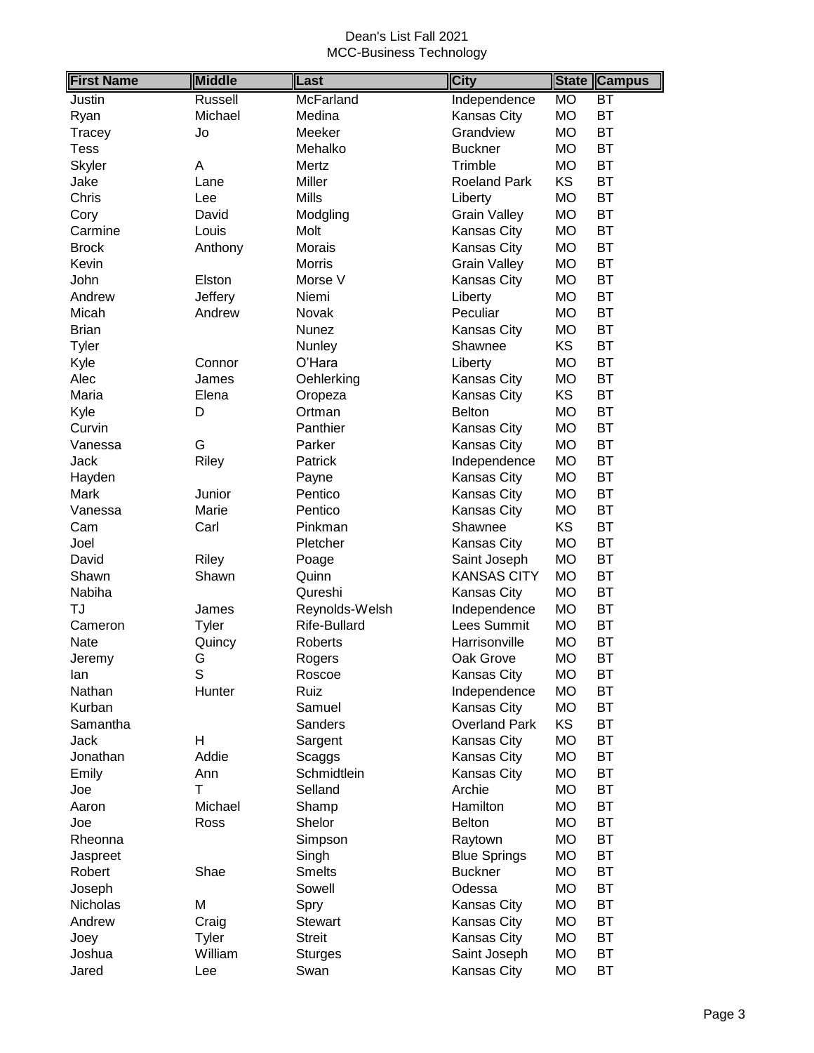| <b>First Name</b> | <b>Middle</b> | Last                | <b>City</b>          | <b>State</b> | <b>Campus</b>   |
|-------------------|---------------|---------------------|----------------------|--------------|-----------------|
| Justin            | Russell       | McFarland           | Independence         | <b>MO</b>    | $\overline{BT}$ |
| Ryan              | Michael       | Medina              | Kansas City          | <b>MO</b>    | <b>BT</b>       |
| Tracey            | Jo            | Meeker              | Grandview            | <b>MO</b>    | <b>BT</b>       |
| <b>Tess</b>       |               | Mehalko             | <b>Buckner</b>       | <b>MO</b>    | <b>BT</b>       |
| Skyler            | Α             | Mertz               | Trimble              | <b>MO</b>    | <b>BT</b>       |
| Jake              | Lane          | Miller              | <b>Roeland Park</b>  | <b>KS</b>    | <b>BT</b>       |
| Chris             | Lee           | <b>Mills</b>        | Liberty              | <b>MO</b>    | BT              |
| Cory              | David         | Modgling            | <b>Grain Valley</b>  | <b>MO</b>    | <b>BT</b>       |
| Carmine           | Louis         | Molt                | Kansas City          | <b>MO</b>    | <b>BT</b>       |
| <b>Brock</b>      | Anthony       | Morais              | Kansas City          | <b>MO</b>    | <b>BT</b>       |
| Kevin             |               | <b>Morris</b>       | <b>Grain Valley</b>  | <b>MO</b>    | <b>BT</b>       |
| John              | Elston        | Morse V             | Kansas City          | <b>MO</b>    | <b>BT</b>       |
| Andrew            | Jeffery       | Niemi               | Liberty              | <b>MO</b>    | <b>BT</b>       |
| Micah             | Andrew        | Novak               | Peculiar             | <b>MO</b>    | <b>BT</b>       |
| <b>Brian</b>      |               | Nunez               | <b>Kansas City</b>   | <b>MO</b>    | ВT              |
| Tyler             |               | Nunley              | Shawnee              | KS           | <b>BT</b>       |
| Kyle              | Connor        | O'Hara              | Liberty              | <b>MO</b>    | <b>BT</b>       |
| Alec              | James         | Oehlerking          | Kansas City          | <b>MO</b>    | <b>BT</b>       |
| Maria             | Elena         | Oropeza             | Kansas City          | KS           | <b>BT</b>       |
| Kyle              | D             | Ortman              | <b>Belton</b>        | <b>MO</b>    | <b>BT</b>       |
| Curvin            |               | Panthier            | Kansas City          | <b>MO</b>    | <b>BT</b>       |
| Vanessa           | G             | Parker              | Kansas City          | <b>MO</b>    | <b>BT</b>       |
| Jack              | Riley         | Patrick             | Independence         | <b>MO</b>    | <b>BT</b>       |
| Hayden            |               | Payne               | Kansas City          | <b>MO</b>    | BT              |
| Mark              | Junior        | Pentico             | Kansas City          | <b>MO</b>    | <b>BT</b>       |
| Vanessa           | Marie         | Pentico             | <b>Kansas City</b>   | <b>MO</b>    | <b>BT</b>       |
| Cam               | Carl          | Pinkman             | Shawnee              | KS           | <b>BT</b>       |
| Joel              |               | Pletcher            | Kansas City          | <b>MO</b>    | <b>BT</b>       |
| David             | Riley         | Poage               | Saint Joseph         | <b>MO</b>    | <b>BT</b>       |
| Shawn             | Shawn         | Quinn               | <b>KANSAS CITY</b>   | <b>MO</b>    | <b>BT</b>       |
| Nabiha            |               | Qureshi             | Kansas City          | <b>MO</b>    | <b>BT</b>       |
| TJ                | James         | Reynolds-Welsh      | Independence         | <b>MO</b>    | <b>BT</b>       |
| Cameron           | Tyler         | <b>Rife-Bullard</b> | Lees Summit          | <b>MO</b>    | <b>BT</b>       |
| <b>Nate</b>       | Quincy        | <b>Roberts</b>      | Harrisonville        | <b>MO</b>    | <b>BT</b>       |
| Jeremy            | G             | Rogers              | Oak Grove            | <b>MO</b>    | <b>BT</b>       |
| lan               | S             | Roscoe              | Kansas City          | <b>MO</b>    | ВT              |
| Nathan            | Hunter        | Ruiz                | Independence         | <b>MO</b>    | ВT              |
| Kurban            |               | Samuel              | Kansas City          | <b>MO</b>    | ВT              |
| Samantha          |               | Sanders             | <b>Overland Park</b> | KS           | ВT              |
| Jack              | H             | Sargent             | Kansas City          | <b>MO</b>    | <b>BT</b>       |
| Jonathan          | Addie         | Scaggs              | Kansas City          | MO           | <b>BT</b>       |
| Emily             | Ann           | Schmidtlein         | Kansas City          | <b>MO</b>    | BT              |
| Joe               | Τ             | Selland             | Archie               | <b>MO</b>    | BT              |
| Aaron             | Michael       | Shamp               | Hamilton             | <b>MO</b>    | <b>BT</b>       |
| Joe               | Ross          | Shelor              | <b>Belton</b>        | <b>MO</b>    | <b>BT</b>       |
| Rheonna           |               | Simpson             | Raytown              | MO           | ВT              |
| Jaspreet          |               | Singh               | <b>Blue Springs</b>  | MO           | <b>BT</b>       |
| Robert            | Shae          | <b>Smelts</b>       | <b>Buckner</b>       | MO           | ВT              |
| Joseph            |               | Sowell              | Odessa               | <b>MO</b>    | <b>BT</b>       |
| Nicholas          | Μ             | Spry                | Kansas City          | <b>MO</b>    | ВT              |
| Andrew            | Craig         | <b>Stewart</b>      | Kansas City          | <b>MO</b>    | BT              |
| Joey              | <b>Tyler</b>  | <b>Streit</b>       | Kansas City          | <b>MO</b>    | BT              |
| Joshua            | William       | <b>Sturges</b>      | Saint Joseph         | <b>MO</b>    | ВT              |
| Jared             | Lee           | Swan                | Kansas City          | <b>MO</b>    | <b>BT</b>       |